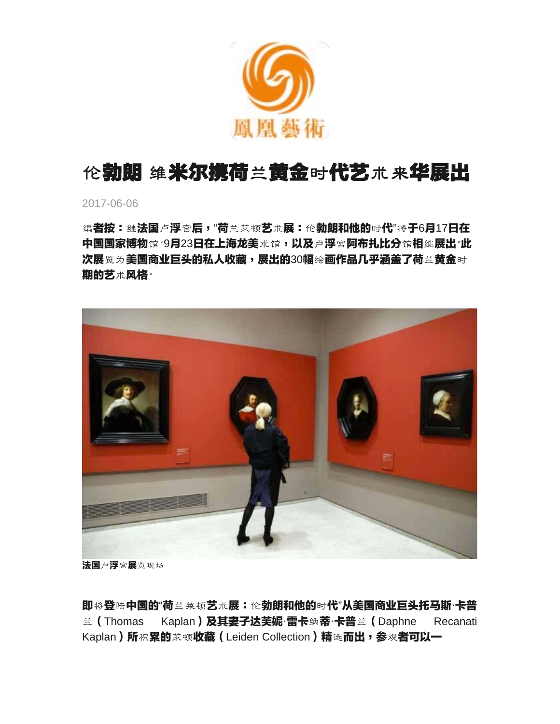

# 伦勃朗 维米尔携荷兰黄金时代艺术来华展出

2017-06-06

编者按:继法国卢浮宫后,"荷兰莱顿艺术展:伦勃朗和他的时代"将于6月17日在 中国国家博物馆 '9月23日在上海龙美术馆,以及卢浮宫阿布扎比分馆相继展出'此 次展览为美国商业巨头的私人收藏,展出的30幅绘画作品几乎涵盖了荷兰黄金时 期的艺术风格。



法国卢浮宫展览现场

即将登陆中国的"荷兰莱顿艺术展:伦勃朗和他的时代"从美国商业巨头托马斯·卡普 兰(Thomas Kaplan)及其妻子达芙妮·雷卡纳蒂·卡普兰(Daphne Recanati Kaplan)所积累的莱顿收藏 (Leiden Collection)精选而出,参观者可以一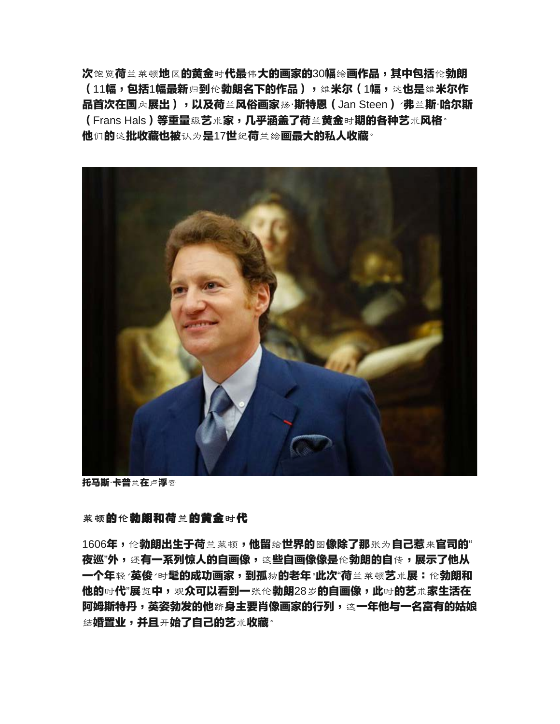次饱览荷兰莱顿地区的黄金时代最伟大的画家的30幅绘画作品,其中包括伦勃朗 (11幅,包括1幅最新归到伦勃朗名下的作品),维米尔(1幅,这也是维米尔作 品首次在国内展出),以及荷兰风俗画家扬·斯特恩 (Jan Steen) /弗兰斯·哈尔斯 (Frans Hals)等重量级艺术家,几乎涵盖了荷兰黄金时期的各种艺术风格<sup>。</sup> 他们的这批收藏也被认为是17世纪荷兰绘画最大的私人收藏<sup>。</sup>



**托马斯·卡普兰在卢浮宫** 

#### 莱顿的伦勃朗和荷兰的黄金时代

1606年,伦**勃朗出生于荷**兰莱顿,**他留给世界的图像除了那**张为**自己惹来官司的"** 夜巡"外,还有一系列惊人的自画像,这些自画像像是伦勃朗的自传,展示了**他从** 一个年轻 **'英俊 <sub>'时</sub>髦的成功画家,到孤<sub>独</sub>的老年<sup>。</sup>此次"荷兰莱顿艺术展:伦勃朗和** 他的时代"展览中,观众可以看到一张伦勃朗28岁的自画像,此时的艺术家生活在 阿姆斯特丹,英姿勃发的他跻身主要肖像画家的行列,这一年他与一名富有的姑**娘** 结**婚置业,并且<sub>开</sub>始了自己的艺**术**收藏<sup>。</sup>**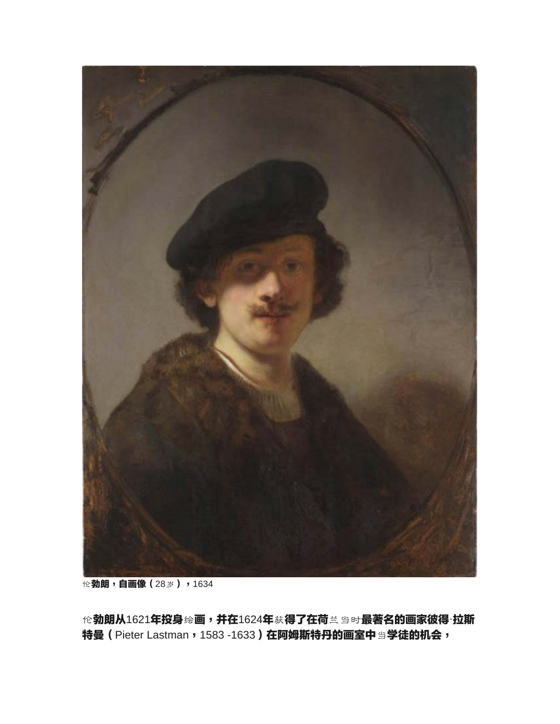

伦勃朗,自画像(28岁),1634

伦勃朗从1621年投身绘画,并在1624年获得了在荷兰当时最著名的画家彼得·拉斯 特曼 (Pieter Lastman, 1583 -1633) 在阿姆斯特丹的画室中当学徒的机会,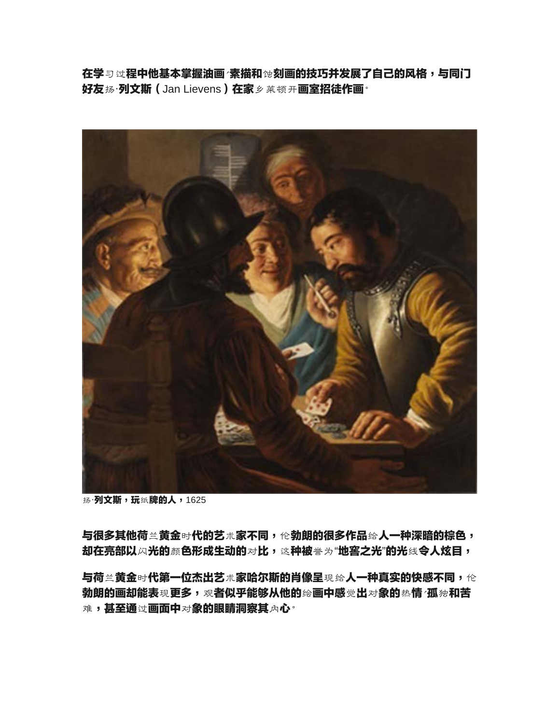在学习过程中他基本掌握油画、素描和蚀刻画的技巧并发展了自己的风格,与同门 好友扬·列文斯(Jan Lievens)在家乡莱顿开画室招徒作画<sup>。</sup>



扬·**列文斯,玩纸牌的人,1625** 

与很多其他荷兰黄金时代的艺术家不同,伦勃朗的很多作品给人一种深暗的棕色, 却在亮部以闪光的颜色形成生动的对比,这种被誉为"地窖之光"的光线令人炫目,

与荷兰黄金时代第一位杰出艺术家哈尔斯的肖像呈现给人一种真实的快感不同,伦 勃朗的画却能表现更多,观者似乎能够从他的绘画中感觉出对象的热情 '孤独和苦 难,甚至通过画面中对象的眼睛洞察其内心。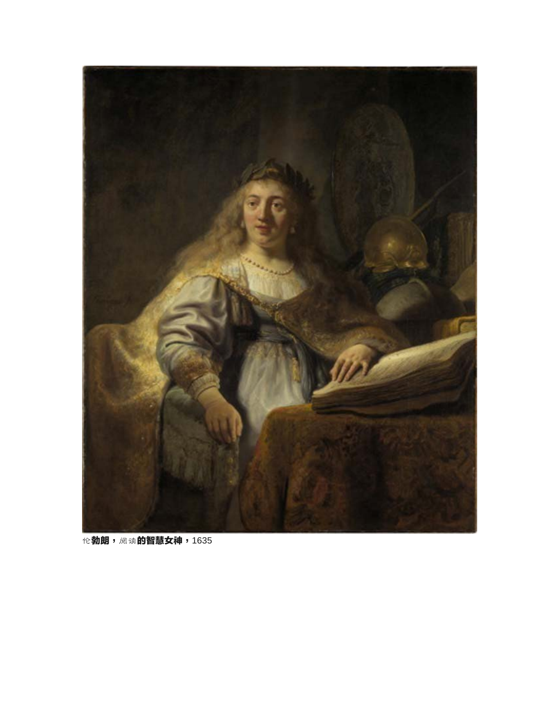

伦**勃朗,** 阅读**的智慧女神, 1635**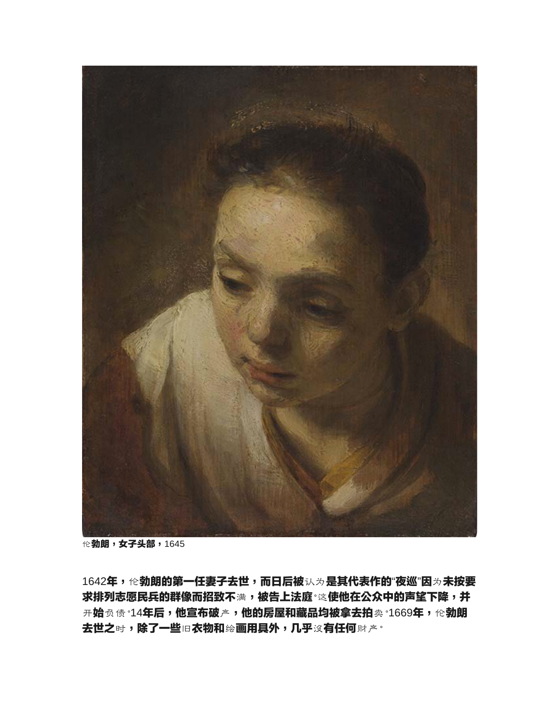

伦勃朗,女子头部,1645

1642年,伦勃朗的第一任妻子去世,而日后被认为是其代表作的"夜巡"因为未按要 求排列志愿民兵的群像而招致不满,被告上法庭。这使他在公众中的声望下降,并 开始负债"14年后,他宣布破产,他的房屋和藏品均被拿去拍卖"1669年,伦勃朗 去世之时,除了一些旧衣物和绘画用具外,几乎沒有任何财产。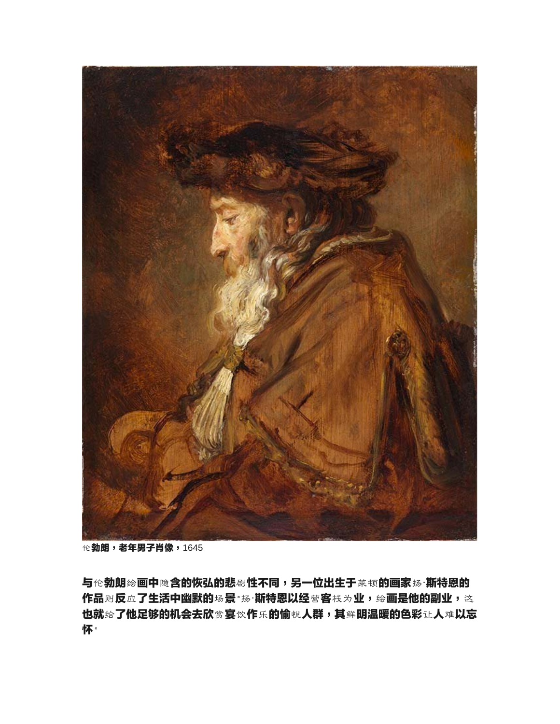

伦勃朗,老年男子肖像,1645

与伦勃朗绘画中隐含的恢弘的悲剧性不同,另一位出生于莱顿的画家扬·斯特恩的 作品则反应了生活中幽默的场景。扬·斯特恩以经营客栈为业,绘画是他的副业,这 也就给了他足够的机会去欣赏宴饮作乐的愉悦人群,其鲜明温暖的色彩让人难以忘 怀。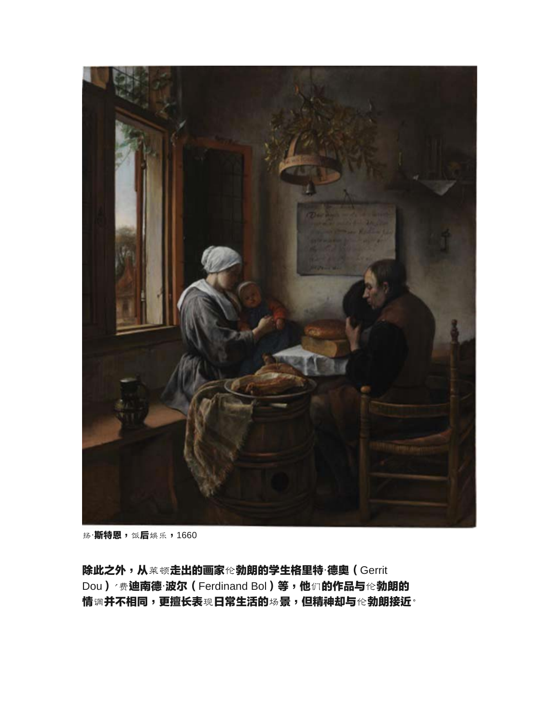

扬·**斯特恩,饭后**娱乐,1660

除此之外,从莱顿走出的画家伦勃朗的学生格里特·德奥(Gerrit Dou) / 费迪南德·波尔 (Ferdinand Bol) 等,他们的作品与伦勃朗的 情调并不相同,更擅长表现日常生活的场景,但精神却与伦勃朗接近。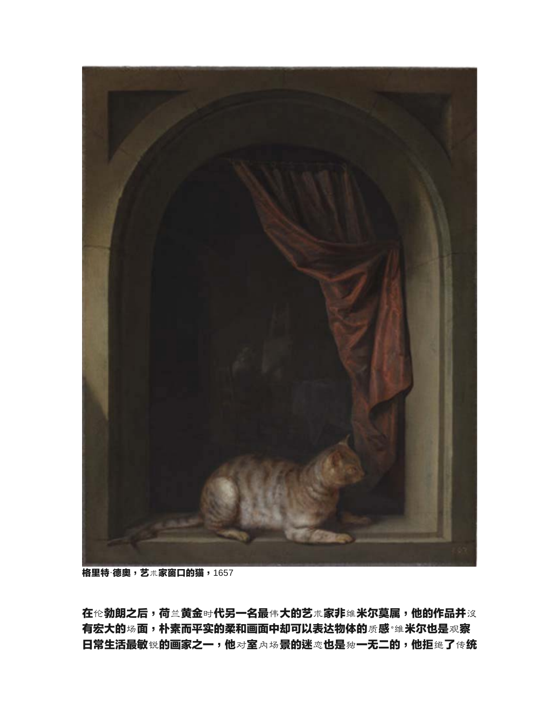

**格里特·德奥,艺术家窗口的猫,1657** 

在伦勃朗之后,荷兰黄金时代另一名最伟大的艺术家非维米尔莫属,他的作品并沒 有宏大的场面,朴素而平实的柔和画面中却可以表达物体的质感。维米尔也是观察 **日常生活最敏锐的画家之一,他对室内场景的迷恋也是独一无二的,他拒绝了传统**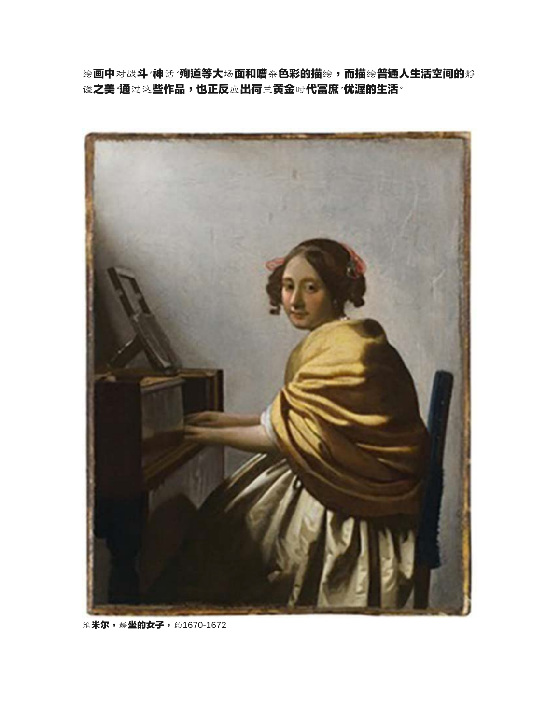绘画中对战斗、神话/殉道等大场面和嘈杂色彩的描绘,而描绘普通人生活空间的静 **谧之美 通过这些作品,也正反应出荷兰黄金时代富庶 优渥的生活<sup>。</sup>** 



维**米尔,静坐的女子,约1670-1672**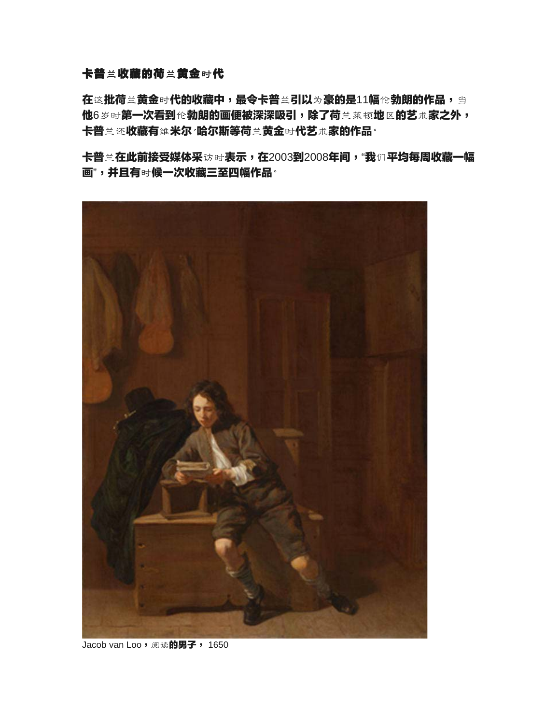## 卡普兰收藏的荷兰黄金时代

在这批荷兰黄金时代的收藏中,最令卡普兰引以为豪的是11幅伦勃朗的作品,当 他6岁时第一次看到伦勃朗的画便被深深吸引,除了荷兰莱顿地区的艺术家之外, 卡普兰还收藏有维米尔/哈尔斯等荷兰黄金时代艺术家的作品。

卡普兰在此前接受媒体采访时表示,在2003到2008年间,"我们平均每周收藏一幅 画",并且有时候一次收藏三至四幅作品。



Jacob van Loo, 阅读**的男子**, 1650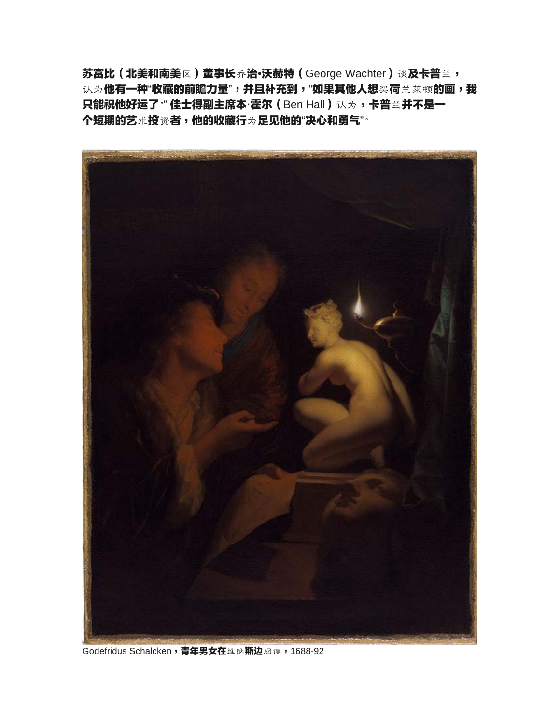苏富比(北美和南美区)董事长乔治•沃赫特 (George Wachter)谈及卡普兰, 认为他有一种"收藏的前瞻力量",并且补充到,"如果其他人想买荷兰莱顿的画,我 只能祝他好运了<sup>。</sup>" 佳士得副主席本·霍尔 (Ben Hall) 认为,卡普兰并不是一 个短期的艺术投资者,他的收藏行为足见他的"决心和勇气"。



Godefridus Schalcken, 青年男女在维纳斯边阅读, 1688-92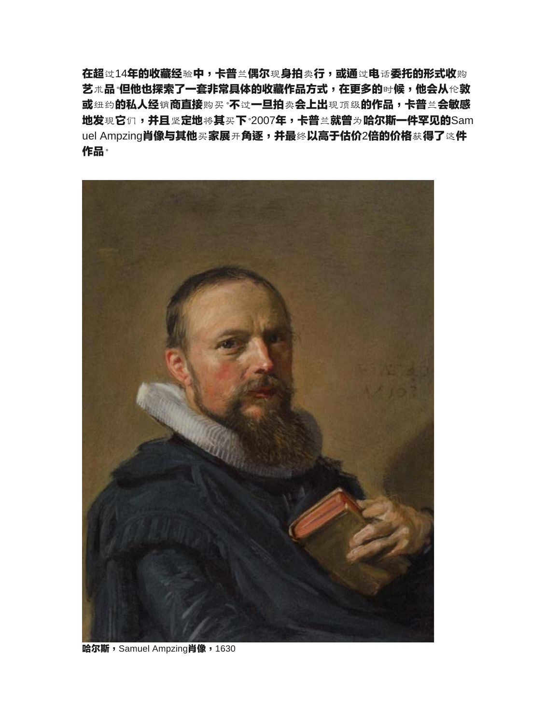在超过14年的收藏经验中,卡普兰偶尔现身拍卖行,或通过电话委托的形式收购 艺术品 但他也探索了一套非常具体的收藏作品方式,在更多的时候,他会从伦敦 或纽约的私人经销商直接购买"不过一旦拍卖会上出现顶级的作品,卡普兰会敏感 地发现它们,并且坚定地将其买下<sup>。</sup>2007年,卡普兰就曾为哈尔斯一件罕见的Sam uel Ampzing**肖像与其他买家展开角逐,并最终以高于估价2倍的价格**获**得了这件** 作品。



哈尔斯, Samuel Ampzing肖像, 1630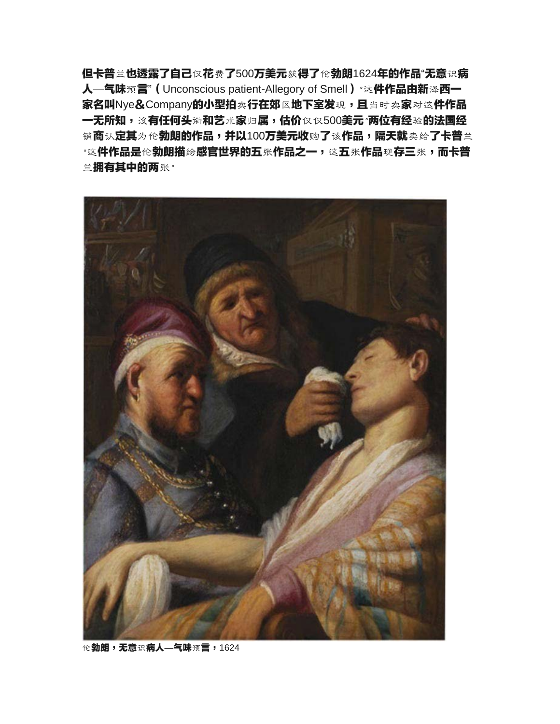但卡普兰也透露了自己仅花费了500万美元获得了伦勃朗1624年的作品"无意识病 人—气味预言"(Unconscious patient-Allegory of Smell)。这件作品由新泽西一 家名叫Nye&Company的小型拍卖行在郊区地下室发现,且当时卖家对这件作品 一无所知,该有任何头衔和艺术家归属,估价仅仅500美元·两位有经验的法国经 销商认定其为伦**勃朗的作品,并以100万美元收**购了该**作品,隔天就**卖给了卡普兰  $\cdot$ 这**件作品是伦勃朗描绘感官世界的五张作品之一,**这五张**作品现存三张,而卡普** 兰拥有其中的两张。



伦勃朗,无意识病人—气味预言,1624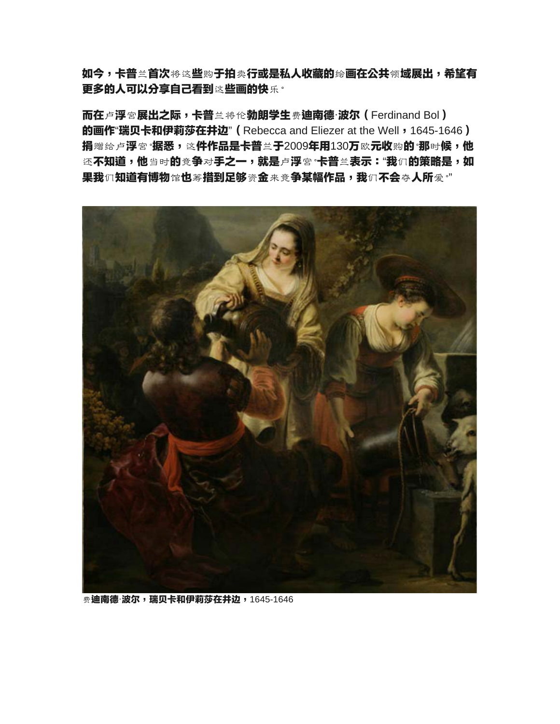如今,卡普兰首次将这些购于拍卖行或是私人收藏的绘画在公共领域展出,希望有 更多的人可以分享自己看到这些画的快乐。

而在卢浮宫展出之际,卡普兰将伦勃朗学生费迪南德·波尔 (Ferdinand Bol) **的画作"瑞贝卡和伊莉莎在井边" (Rebecca and Eliezer at the Well, 1645-1646)** 捐赠给卢浮宫<sup>。</sup>据悉,这件作品是卡普兰于2009年用130万欧元收购的<sup>。</sup>那时候,他 还不知道,他当时的竞争对手之一,就是卢浮宫·卡普兰表示:"我们的策略是,如 果我们知道有博物馆也筹措到足够资金来竞争某幅作品,我们不会夺人所爱。"



**费迪南德·波尔,瑞贝卡和伊莉莎在井边,1645-1646**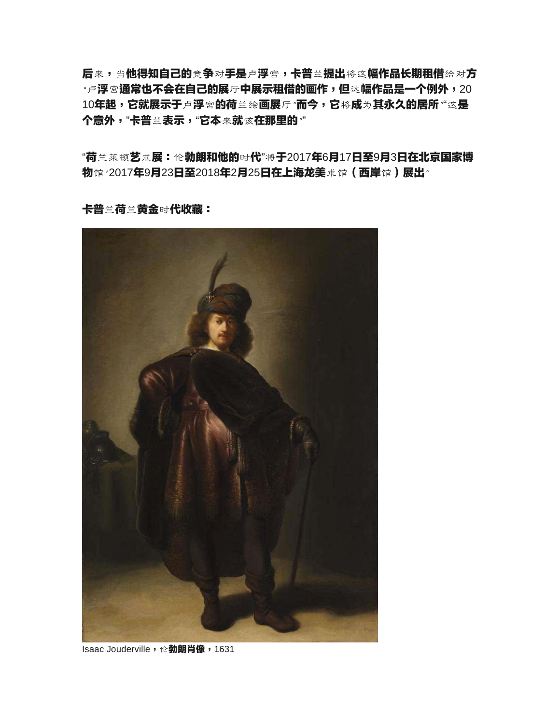后来,当他得知自己的竞争对手是卢浮宫,卡普兰提出将这幅作品长期租借给对方 **•卢浮宫通常也不会在自己的展厅中展示租借的画作,但这幅作品是一个例外,20** 10**年起,它就展示于卢浮宫的荷**兰绘**画展厅·而今,它将成为其永久的居所**"这是 个意外,"卡普兰表示,"它本来就该在那里的。"

"荷兰莱顿艺术展:伦勃朗和他的时代"将于2017年6月17日至9月3日在北京国家博 物馆/2017年9月23日至2018年2月25日在上海龙美术馆(西岸馆)展出<sup>。</sup>

卡普兰荷兰黄金时代收藏:



Isaac Jouderville, 伦**勃朗肖像**, 1631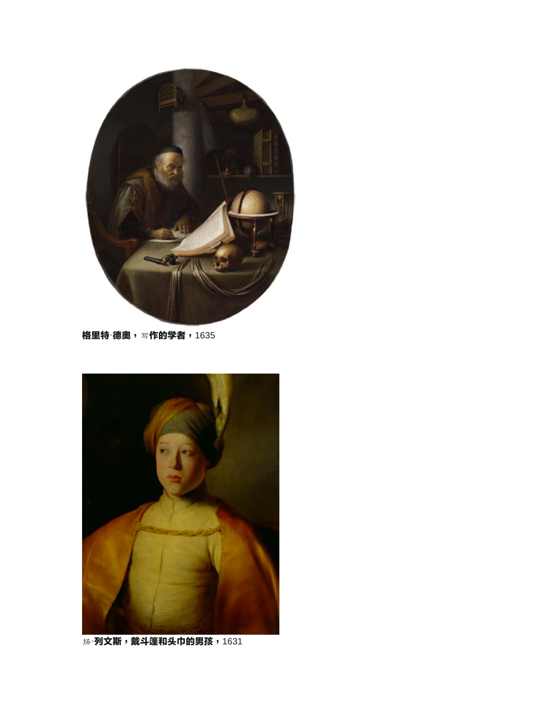

格里特·德奥,写作的学者,1635



扬·列文斯,戴斗篷和头巾的男孩,1631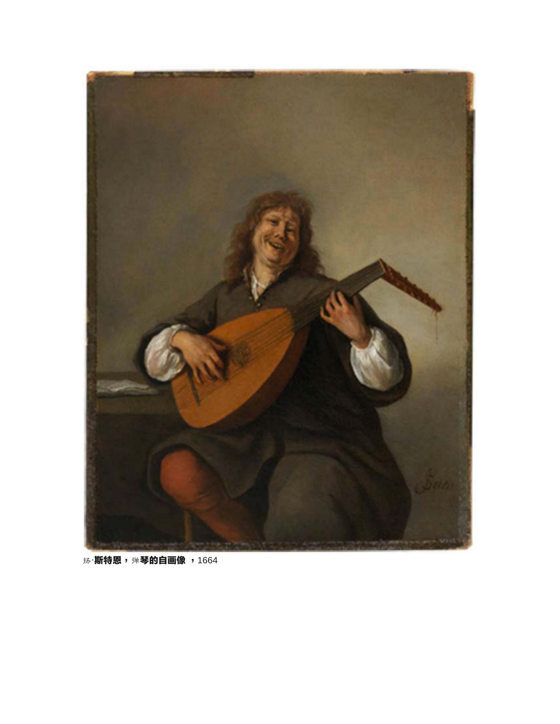

扬·**斯特恩,弹琴的自画像,1664**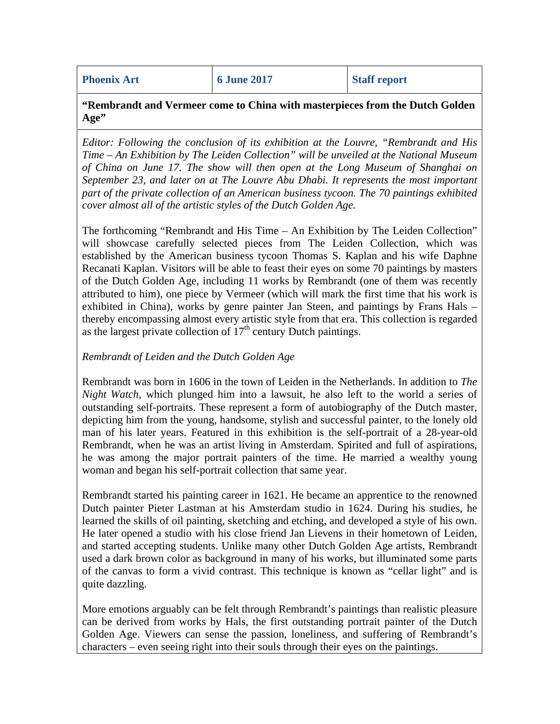**Phoenix Art 6 June 2017 Staff report** 

**"Rembrandt and Vermeer come to China with masterpieces from the Dutch Golden Age"**

*Editor: Following the conclusion of its exhibition at the Louvre, "Rembrandt and His Time – An Exhibition by The Leiden Collection" will be unveiled at the National Museum of China on June 17. The show will then open at the Long Museum of Shanghai on September 23, and later on at The Louvre Abu Dhabi. It represents the most important part of the private collection of an American business tycoon. The 70 paintings exhibited cover almost all of the artistic styles of the Dutch Golden Age.*

The forthcoming "Rembrandt and His Time – An Exhibition by The Leiden Collection" will showcase carefully selected pieces from The Leiden Collection, which was established by the American business tycoon Thomas S. Kaplan and his wife Daphne Recanati Kaplan. Visitors will be able to feast their eyes on some 70 paintings by masters of the Dutch Golden Age, including 11 works by Rembrandt (one of them was recently attributed to him), one piece by Vermeer (which will mark the first time that his work is exhibited in China), works by genre painter Jan Steen, and paintings by Frans Hals – thereby encompassing almost every artistic style from that era. This collection is regarded as the largest private collection of  $17<sup>th</sup>$  century Dutch paintings.

### *Rembrandt of Leiden and the Dutch Golden Age*

Rembrandt was born in 1606 in the town of Leiden in the Netherlands. In addition to *The Night Watch*, which plunged him into a lawsuit, he also left to the world a series of outstanding self-portraits. These represent a form of autobiography of the Dutch master, depicting him from the young, handsome, stylish and successful painter, to the lonely old man of his later years. Featured in this exhibition is the self-portrait of a 28-year-old Rembrandt, when he was an artist living in Amsterdam. Spirited and full of aspirations, he was among the major portrait painters of the time. He married a wealthy young woman and began his self-portrait collection that same year.

Rembrandt started his painting career in 1621. He became an apprentice to the renowned Dutch painter Pieter Lastman at his Amsterdam studio in 1624. During his studies, he learned the skills of oil painting, sketching and etching, and developed a style of his own. He later opened a studio with his close friend Jan Lievens in their hometown of Leiden, and started accepting students. Unlike many other Dutch Golden Age artists, Rembrandt used a dark brown color as background in many of his works, but illuminated some parts of the canvas to form a vivid contrast. This technique is known as "cellar light" and is quite dazzling.

More emotions arguably can be felt through Rembrandt's paintings than realistic pleasure can be derived from works by Hals, the first outstanding portrait painter of the Dutch Golden Age. Viewers can sense the passion, loneliness, and suffering of Rembrandt's characters – even seeing right into their souls through their eyes on the paintings.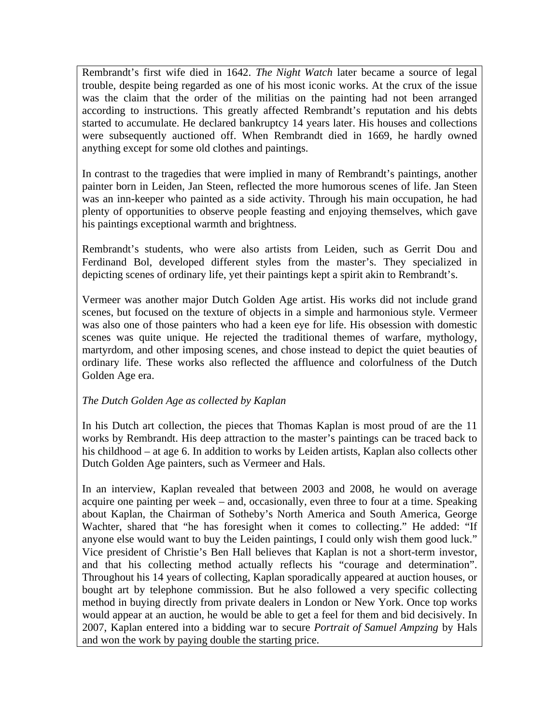Rembrandt's first wife died in 1642. *The Night Watch* later became a source of legal trouble, despite being regarded as one of his most iconic works. At the crux of the issue was the claim that the order of the militias on the painting had not been arranged according to instructions. This greatly affected Rembrandt's reputation and his debts started to accumulate. He declared bankruptcy 14 years later. His houses and collections were subsequently auctioned off. When Rembrandt died in 1669, he hardly owned anything except for some old clothes and paintings.

In contrast to the tragedies that were implied in many of Rembrandt's paintings, another painter born in Leiden, Jan Steen, reflected the more humorous scenes of life. Jan Steen was an inn-keeper who painted as a side activity. Through his main occupation, he had plenty of opportunities to observe people feasting and enjoying themselves, which gave his paintings exceptional warmth and brightness.

Rembrandt's students, who were also artists from Leiden, such as Gerrit Dou and Ferdinand Bol, developed different styles from the master's. They specialized in depicting scenes of ordinary life, yet their paintings kept a spirit akin to Rembrandt's.

Vermeer was another major Dutch Golden Age artist. His works did not include grand scenes, but focused on the texture of objects in a simple and harmonious style. Vermeer was also one of those painters who had a keen eye for life. His obsession with domestic scenes was quite unique. He rejected the traditional themes of warfare, mythology, martyrdom, and other imposing scenes, and chose instead to depict the quiet beauties of ordinary life. These works also reflected the affluence and colorfulness of the Dutch Golden Age era.

## *The Dutch Golden Age as collected by Kaplan*

In his Dutch art collection, the pieces that Thomas Kaplan is most proud of are the 11 works by Rembrandt. His deep attraction to the master's paintings can be traced back to his childhood – at age 6. In addition to works by Leiden artists, Kaplan also collects other Dutch Golden Age painters, such as Vermeer and Hals.

In an interview, Kaplan revealed that between 2003 and 2008, he would on average acquire one painting per week – and, occasionally, even three to four at a time. Speaking about Kaplan, the Chairman of Sotheby's North America and South America, George Wachter, shared that "he has foresight when it comes to collecting." He added: "If anyone else would want to buy the Leiden paintings, I could only wish them good luck." Vice president of Christie's Ben Hall believes that Kaplan is not a short-term investor, and that his collecting method actually reflects his "courage and determination". Throughout his 14 years of collecting, Kaplan sporadically appeared at auction houses, or bought art by telephone commission. But he also followed a very specific collecting method in buying directly from private dealers in London or New York. Once top works would appear at an auction, he would be able to get a feel for them and bid decisively. In 2007, Kaplan entered into a bidding war to secure *Portrait of Samuel Ampzing* by Hals and won the work by paying double the starting price.